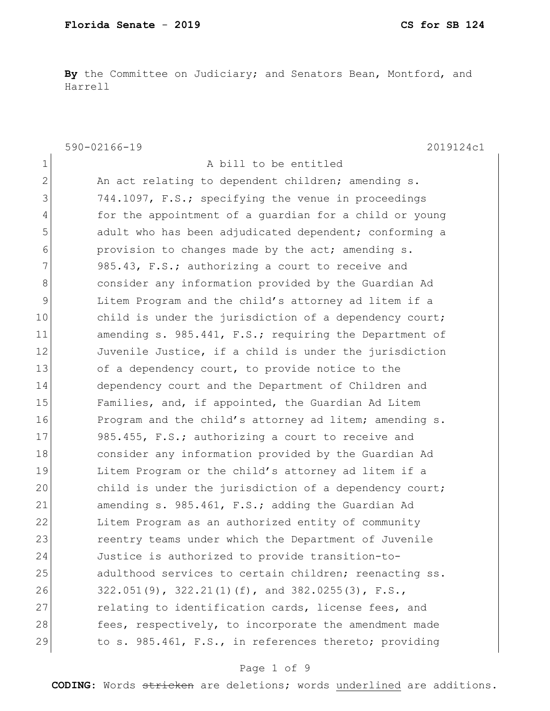**By** the Committee on Judiciary; and Senators Bean, Montford, and Harrell

590-02166-19 2019124c1 1 a bill to be entitled 2 An act relating to dependent children; amending s. 3 744.1097, F.S.; specifying the venue in proceedings 4 for the appointment of a guardian for a child or young 5 5 5 5 adult who has been adjudicated dependent; conforming a 6 provision to changes made by the act; amending s. 7 985.43, F.S.; authorizing a court to receive and 8 8 8 6 consider any information provided by the Guardian Ad 9 Litem Program and the child's attorney ad litem if a 10 child is under the jurisdiction of a dependency court; 11 amending s. 985.441, F.S.; requiring the Department of 12 Juvenile Justice, if a child is under the jurisdiction 13 of a dependency court, to provide notice to the 14 dependency court and the Department of Children and 15 Families, and, if appointed, the Guardian Ad Litem 16 Program and the child's attorney ad litem; amending s. 17 985.455, F.S.; authorizing a court to receive and 18 consider any information provided by the Guardian Ad 19 **Litem Program or the child's attorney ad litem if a** 20 child is under the jurisdiction of a dependency court; 21 amending s. 985.461, F.S.; adding the Guardian Ad 22 Litem Program as an authorized entity of community 23 reentry teams under which the Department of Juvenile 24 Justice is authorized to provide transition-to-25 adulthood services to certain children; reenacting ss. 26 322.051(9), 322.21(1)(f), and 382.0255(3), F.S., 27 relating to identification cards, license fees, and 28 fees, respectively, to incorporate the amendment made 29 to s. 985.461, F.S., in references thereto; providing

# Page 1 of 9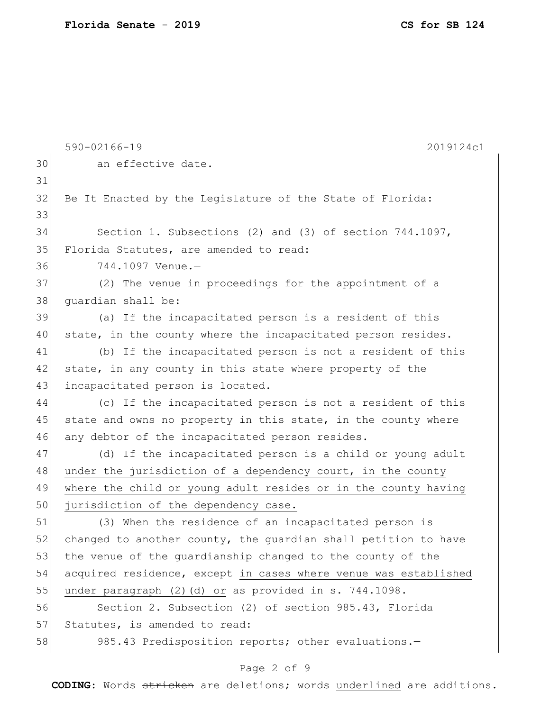|    | 590-02166-19<br>2019124c1                                       |
|----|-----------------------------------------------------------------|
| 30 | an effective date.                                              |
| 31 |                                                                 |
| 32 | Be It Enacted by the Legislature of the State of Florida:       |
| 33 |                                                                 |
| 34 | Section 1. Subsections (2) and (3) of section 744.1097,         |
| 35 | Florida Statutes, are amended to read:                          |
| 36 | 744.1097 Venue.-                                                |
| 37 | (2) The venue in proceedings for the appointment of a           |
| 38 | quardian shall be:                                              |
| 39 | (a) If the incapacitated person is a resident of this           |
| 40 | state, in the county where the incapacitated person resides.    |
| 41 | (b) If the incapacitated person is not a resident of this       |
| 42 | state, in any county in this state where property of the        |
| 43 | incapacitated person is located.                                |
| 44 | (c) If the incapacitated person is not a resident of this       |
| 45 | state and owns no property in this state, in the county where   |
| 46 | any debtor of the incapacitated person resides.                 |
| 47 | If the incapacitated person is a child or young adult<br>(d)    |
| 48 | under the jurisdiction of a dependency court, in the county     |
| 49 | where the child or young adult resides or in the county having  |
| 50 | jurisdiction of the dependency case.                            |
| 51 | (3) When the residence of an incapacitated person is            |
| 52 | changed to another county, the guardian shall petition to have  |
| 53 | the venue of the quardianship changed to the county of the      |
| 54 | acquired residence, except in cases where venue was established |
| 55 | under paragraph (2)(d) or as provided in s. 744.1098.           |
| 56 | Section 2. Subsection (2) of section 985.43, Florida            |
| 57 | Statutes, is amended to read:                                   |
| 58 | 985.43 Predisposition reports; other evaluations.-              |

# Page 2 of 9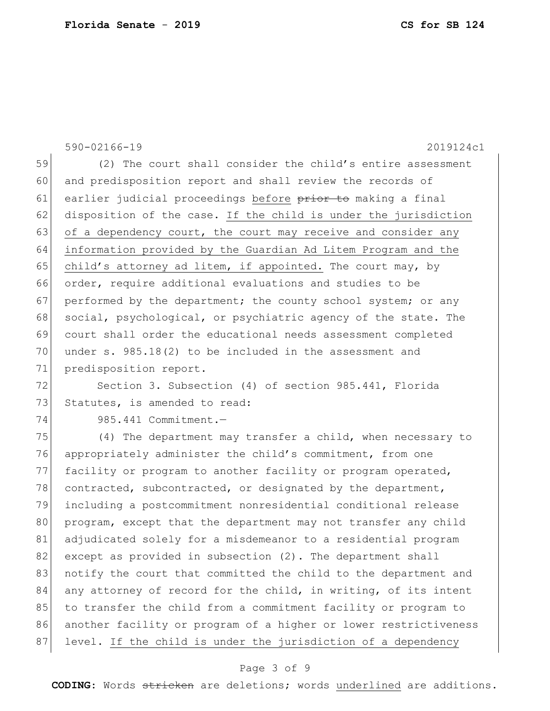590-02166-19 2019124c1 59 (2) The court shall consider the child's entire assessment 60 and predisposition report and shall review the records of 61 earlier judicial proceedings before prior to making a final 62 disposition of the case. If the child is under the jurisdiction 63 of a dependency court, the court may receive and consider any 64 information provided by the Guardian Ad Litem Program and the 65 child's attorney ad litem, if appointed. The court may, by 66 order, require additional evaluations and studies to be 67 performed by the department; the county school system; or any 68 social, psychological, or psychiatric agency of the state. The 69 court shall order the educational needs assessment completed 70 under s. 985.18(2) to be included in the assessment and 71 predisposition report. 72 Section 3. Subsection (4) of section 985.441, Florida 73 Statutes, is amended to read: 74 985.441 Commitment.— 75 (4) The department may transfer a child, when necessary to 76 appropriately administer the child's commitment, from one 77 facility or program to another facility or program operated, 78 contracted, subcontracted, or designated by the department, 79 including a postcommitment nonresidential conditional release 80 program, except that the department may not transfer any child 81 adjudicated solely for a misdemeanor to a residential program 82 except as provided in subsection (2). The department shall 83 notify the court that committed the child to the department and 84 any attorney of record for the child, in writing, of its intent 85 to transfer the child from a commitment facility or program to 86 another facility or program of a higher or lower restrictiveness 87 level. If the child is under the jurisdiction of a dependency

# Page 3 of 9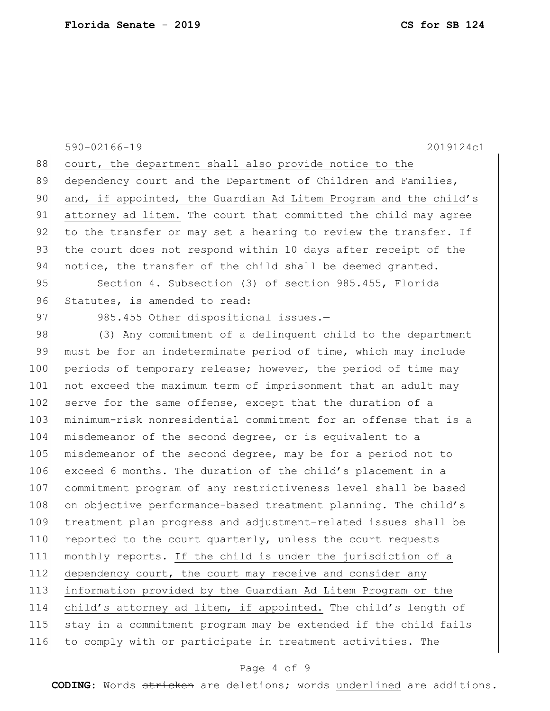590-02166-19 2019124c1 88 court, the department shall also provide notice to the 89 dependency court and the Department of Children and Families, 90 and, if appointed, the Guardian Ad Litem Program and the child's 91 attorney ad litem. The court that committed the child may agree 92 to the transfer or may set a hearing to review the transfer. If 93 the court does not respond within 10 days after receipt of the 94 notice, the transfer of the child shall be deemed granted. 95 Section 4. Subsection (3) of section 985.455, Florida 96 Statutes, is amended to read: 97 985.455 Other dispositional issues.-98 (3) Any commitment of a delinquent child to the department 99 must be for an indeterminate period of time, which may include 100 periods of temporary release; however, the period of time may 101 not exceed the maximum term of imprisonment that an adult may 102 serve for the same offense, except that the duration of a 103 minimum-risk nonresidential commitment for an offense that is a 104 misdemeanor of the second degree, or is equivalent to a 105 misdemeanor of the second degree, may be for a period not to 106 exceed 6 months. The duration of the child's placement in a 107 commitment program of any restrictiveness level shall be based 108 on objective performance-based treatment planning. The child's 109 treatment plan progress and adjustment-related issues shall be 110 reported to the court quarterly, unless the court requests 111 monthly reports. If the child is under the jurisdiction of a 112 dependency court, the court may receive and consider any 113 information provided by the Guardian Ad Litem Program or the 114 child's attorney ad litem, if appointed. The child's length of 115 stay in a commitment program may be extended if the child fails 116 to comply with or participate in treatment activities. The

# Page 4 of 9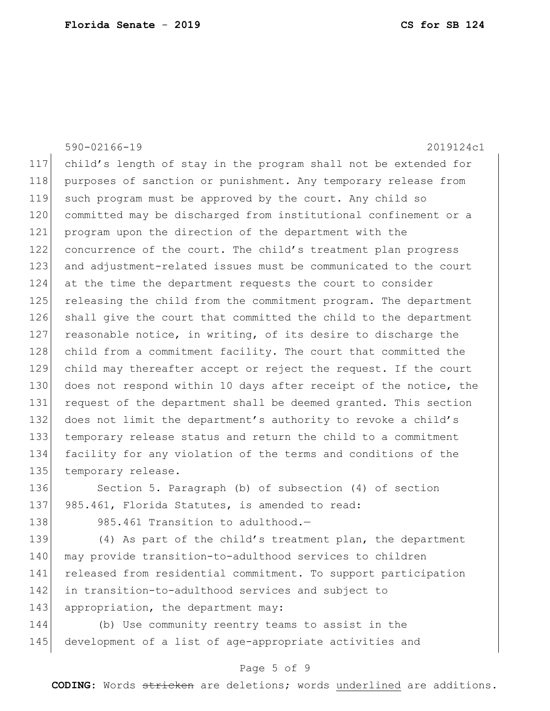590-02166-19 2019124c1 117 child's length of stay in the program shall not be extended for 118 purposes of sanction or punishment. Any temporary release from 119 such program must be approved by the court. Any child so 120 committed may be discharged from institutional confinement or a 121 program upon the direction of the department with the 122 concurrence of the court. The child's treatment plan progress 123 and adjustment-related issues must be communicated to the court 124 at the time the department requests the court to consider 125 releasing the child from the commitment program. The department 126 shall give the court that committed the child to the department 127 reasonable notice, in writing, of its desire to discharge the 128 child from a commitment facility. The court that committed the 129 child may thereafter accept or reject the request. If the court 130 does not respond within 10 days after receipt of the notice, the 131 request of the department shall be deemed granted. This section 132 does not limit the department's authority to revoke a child's 133 temporary release status and return the child to a commitment 134 facility for any violation of the terms and conditions of the 135 temporary release. 136 Section 5. Paragraph (b) of subsection (4) of section 137 985.461, Florida Statutes, is amended to read: 138 985.461 Transition to adulthood.-139 (4) As part of the child's treatment plan, the department 140 | may provide transition-to-adulthood services to children

141 released from residential commitment. To support participation 142 in transition-to-adulthood services and subject to 143 appropriation, the department may:

144 (b) Use community reentry teams to assist in the 145 development of a list of age-appropriate activities and

# Page 5 of 9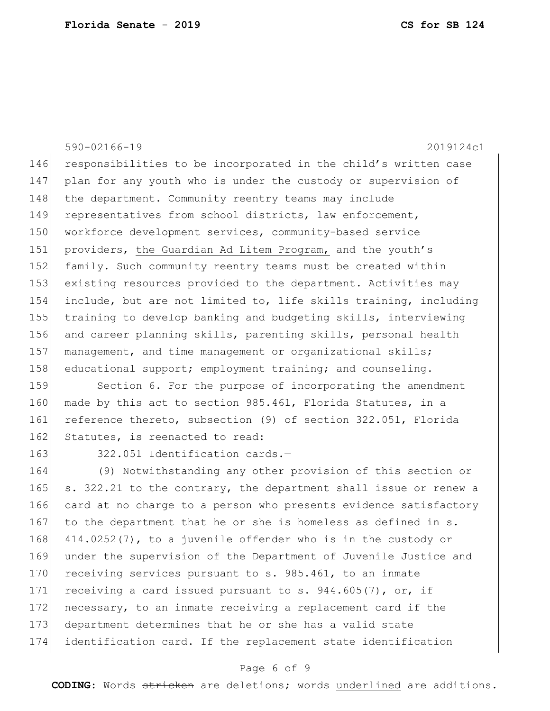590-02166-19 2019124c1 146 responsibilities to be incorporated in the child's written case 147 plan for any youth who is under the custody or supervision of 148 the department. Community reentry teams may include 149 representatives from school districts, law enforcement, 150 workforce development services, community-based service 151 providers, the Guardian Ad Litem Program, and the youth's 152 family. Such community reentry teams must be created within 153 existing resources provided to the department. Activities may 154 include, but are not limited to, life skills training, including 155 training to develop banking and budgeting skills, interviewing 156 and career planning skills, parenting skills, personal health 157 management, and time management or organizational skills; 158 educational support; employment training; and counseling.

159 Section 6. For the purpose of incorporating the amendment 160 made by this act to section 985.461, Florida Statutes, in a 161 reference thereto, subsection (9) of section 322.051, Florida 162 Statutes, is reenacted to read:

163 322.051 Identification cards.-

164 (9) Notwithstanding any other provision of this section or 165  $\vert$  s. 322.21 to the contrary, the department shall issue or renew a 166 card at no charge to a person who presents evidence satisfactory 167 to the department that he or she is homeless as defined in s. 168 414.0252(7), to a juvenile offender who is in the custody or 169 under the supervision of the Department of Juvenile Justice and 170 receiving services pursuant to s. 985.461, to an inmate 171 receiving a card issued pursuant to s.  $944.605(7)$ , or, if 172 necessary, to an inmate receiving a replacement card if the 173 department determines that he or she has a valid state 174 identification card. If the replacement state identification

# Page 6 of 9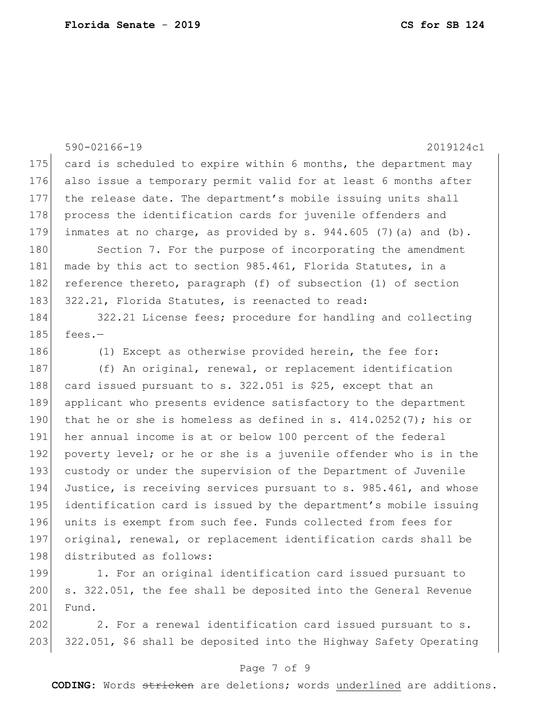590-02166-19 2019124c1 175 card is scheduled to expire within 6 months, the department may 176 also issue a temporary permit valid for at least 6 months after 177 the release date. The department's mobile issuing units shall 178 process the identification cards for juvenile offenders and 179 inmates at no charge, as provided by s. 944.605 (7)(a) and (b). 180 Section 7. For the purpose of incorporating the amendment 181 made by this act to section 985.461, Florida Statutes, in a 182 reference thereto, paragraph (f) of subsection (1) of section 183 322.21, Florida Statutes, is reenacted to read: 184 322.21 License fees; procedure for handling and collecting  $185$  fees.-186 (1) Except as otherwise provided herein, the fee for: 187 (f) An original, renewal, or replacement identification 188 card issued pursuant to s. 322.051 is \$25, except that an 189 applicant who presents evidence satisfactory to the department 190 that he or she is homeless as defined in s.  $414.0252(7)$ ; his or 191 her annual income is at or below 100 percent of the federal 192 poverty level; or he or she is a juvenile offender who is in the 193 custody or under the supervision of the Department of Juvenile 194 Justice, is receiving services pursuant to s. 985.461, and whose 195 identification card is issued by the department's mobile issuing 196 units is exempt from such fee. Funds collected from fees for 197 original, renewal, or replacement identification cards shall be 198 distributed as follows:

199 1. For an original identification card issued pursuant to 200 s. 322.051, the fee shall be deposited into the General Revenue 201 Fund.

202 2. For a renewal identification card issued pursuant to s. 203 322.051, \$6 shall be deposited into the Highway Safety Operating

# Page 7 of 9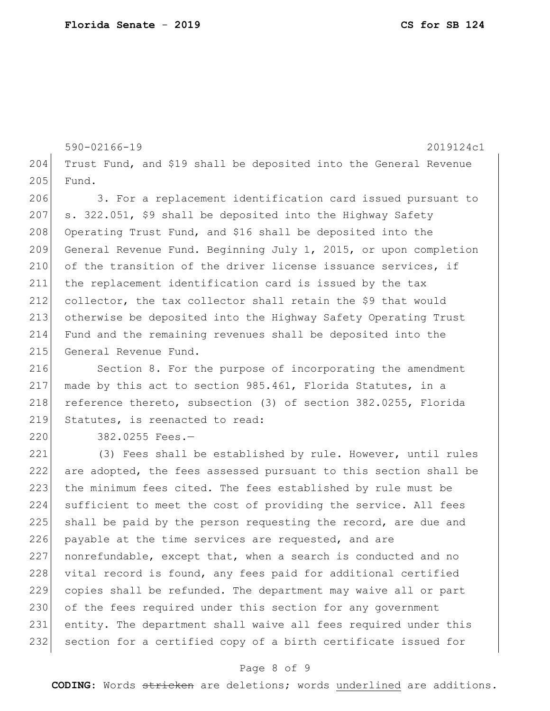590-02166-19 2019124c1 204 Trust Fund, and \$19 shall be deposited into the General Revenue 205 Fund. 206 3. For a replacement identification card issued pursuant to 207 s. 322.051, \$9 shall be deposited into the Highway Safety 208 Operating Trust Fund, and \$16 shall be deposited into the 209 General Revenue Fund. Beginning July 1, 2015, or upon completion 210 of the transition of the driver license issuance services, if 211 the replacement identification card is issued by the tax 212 collector, the tax collector shall retain the \$9 that would 213 otherwise be deposited into the Highway Safety Operating Trust 214 Fund and the remaining revenues shall be deposited into the 215 General Revenue Fund.

216 Section 8. For the purpose of incorporating the amendment 217 made by this act to section 985.461, Florida Statutes, in a 218 reference thereto, subsection (3) of section 382.0255, Florida 219 Statutes, is reenacted to read:

220 382.0255 Fees.-

221 (3) Fees shall be established by rule. However, until rules 222 are adopted, the fees assessed pursuant to this section shall be 223 the minimum fees cited. The fees established by rule must be 224 sufficient to meet the cost of providing the service. All fees 225 shall be paid by the person requesting the record, are due and 226 payable at the time services are requested, and are 227 nonrefundable, except that, when a search is conducted and no 228 vital record is found, any fees paid for additional certified 229 copies shall be refunded. The department may waive all or part 230 of the fees required under this section for any government 231 entity. The department shall waive all fees required under this 232 section for a certified copy of a birth certificate issued for

# Page 8 of 9